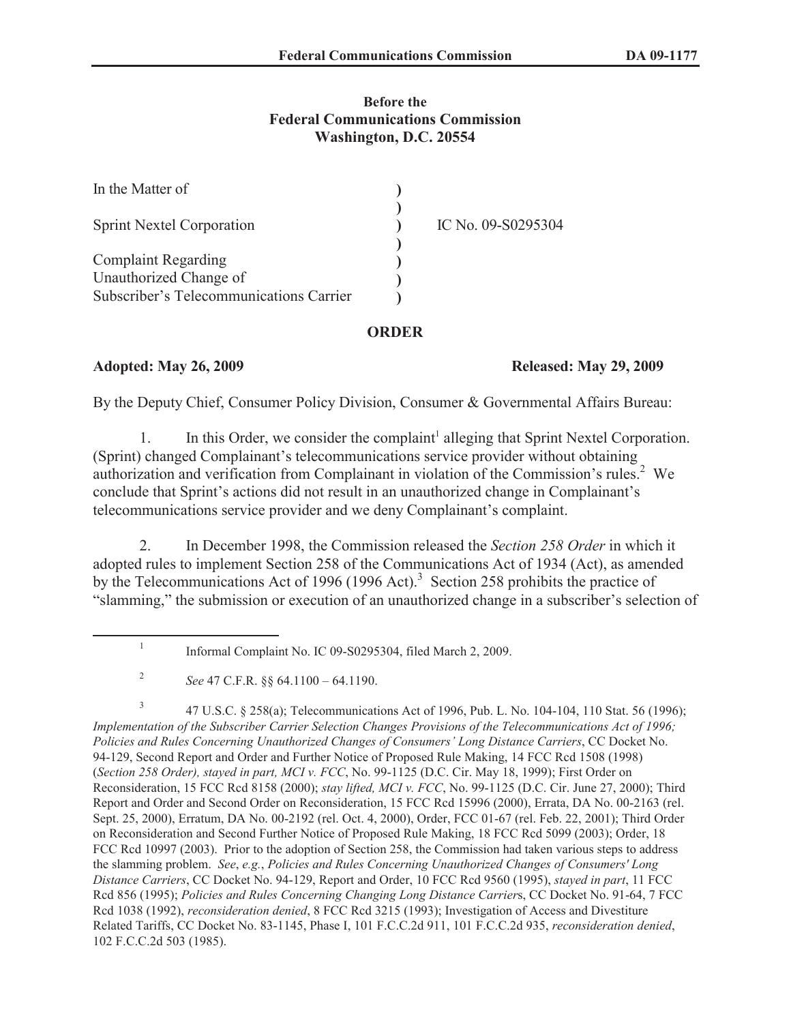### **Before the Federal Communications Commission Washington, D.C. 20554**

| In the Matter of                                                  |                    |
|-------------------------------------------------------------------|--------------------|
| <b>Sprint Nextel Corporation</b>                                  | IC No. 09-S0295304 |
| <b>Complaint Regarding</b>                                        |                    |
| Unauthorized Change of<br>Subscriber's Telecommunications Carrier |                    |

## **ORDER**

## **Adopted: May 26, 2009 Released: May 29, 2009**

By the Deputy Chief, Consumer Policy Division, Consumer & Governmental Affairs Bureau:

1. In this Order, we consider the complaint<sup>1</sup> alleging that Sprint Nextel Corporation. (Sprint) changed Complainant's telecommunications service provider without obtaining authorization and verification from Complainant in violation of the Commission's rules.<sup>2</sup> We conclude that Sprint's actions did not result in an unauthorized change in Complainant's telecommunications service provider and we deny Complainant's complaint.

2. In December 1998, the Commission released the *Section 258 Order* in which it adopted rules to implement Section 258 of the Communications Act of 1934 (Act), as amended by the Telecommunications Act of 1996 (1996 Act).<sup>3</sup> Section 258 prohibits the practice of "slamming," the submission or execution of an unauthorized change in a subscriber's selection of

3 47 U.S.C. § 258(a); Telecommunications Act of 1996, Pub. L. No. 104-104, 110 Stat. 56 (1996); *Implementation of the Subscriber Carrier Selection Changes Provisions of the Telecommunications Act of 1996; Policies and Rules Concerning Unauthorized Changes of Consumers' Long Distance Carriers*, CC Docket No. 94-129, Second Report and Order and Further Notice of Proposed Rule Making, 14 FCC Rcd 1508 (1998) (*Section 258 Order), stayed in part, MCI v. FCC*, No. 99-1125 (D.C. Cir. May 18, 1999); First Order on Reconsideration, 15 FCC Rcd 8158 (2000); *stay lifted, MCI v. FCC*, No. 99-1125 (D.C. Cir. June 27, 2000); Third Report and Order and Second Order on Reconsideration, 15 FCC Rcd 15996 (2000), Errata, DA No. 00-2163 (rel. Sept. 25, 2000), Erratum, DA No. 00-2192 (rel. Oct. 4, 2000), Order, FCC 01-67 (rel. Feb. 22, 2001); Third Order on Reconsideration and Second Further Notice of Proposed Rule Making, 18 FCC Rcd 5099 (2003); Order, 18 FCC Rcd 10997 (2003). Prior to the adoption of Section 258, the Commission had taken various steps to address the slamming problem. *See*, *e.g.*, *Policies and Rules Concerning Unauthorized Changes of Consumers' Long Distance Carriers*, CC Docket No. 94-129, Report and Order, 10 FCC Rcd 9560 (1995), *stayed in part*, 11 FCC Rcd 856 (1995); *Policies and Rules Concerning Changing Long Distance Carrier*s, CC Docket No. 91-64, 7 FCC Rcd 1038 (1992), *reconsideration denied*, 8 FCC Rcd 3215 (1993); Investigation of Access and Divestiture Related Tariffs, CC Docket No. 83-1145, Phase I, 101 F.C.C.2d 911, 101 F.C.C.2d 935, *reconsideration denied*, 102 F.C.C.2d 503 (1985).

<sup>1</sup> Informal Complaint No. IC 09-S0295304, filed March 2, 2009.

<sup>2</sup> *See* 47 C.F.R. §§ 64.1100 – 64.1190.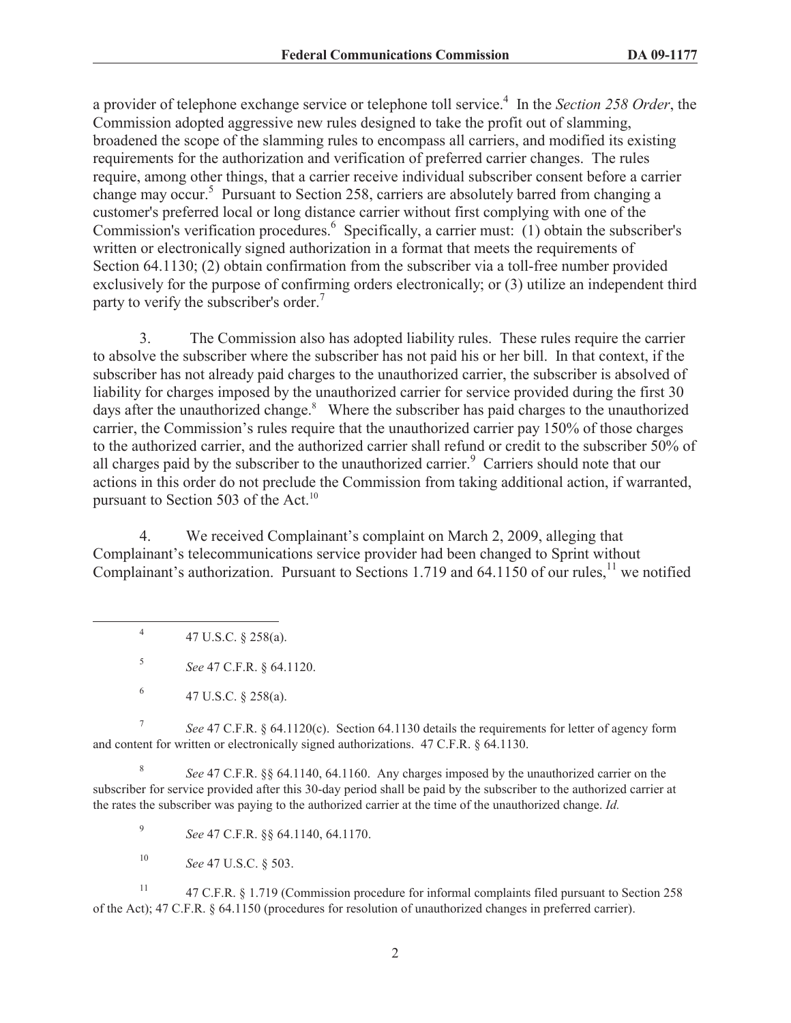a provider of telephone exchange service or telephone toll service.<sup>4</sup> In the *Section 258 Order*, the Commission adopted aggressive new rules designed to take the profit out of slamming, broadened the scope of the slamming rules to encompass all carriers, and modified its existing requirements for the authorization and verification of preferred carrier changes. The rules require, among other things, that a carrier receive individual subscriber consent before a carrier change may occur.<sup>5</sup> Pursuant to Section 258, carriers are absolutely barred from changing a customer's preferred local or long distance carrier without first complying with one of the Commission's verification procedures.<sup>6</sup> Specifically, a carrier must: (1) obtain the subscriber's written or electronically signed authorization in a format that meets the requirements of Section 64.1130; (2) obtain confirmation from the subscriber via a toll-free number provided exclusively for the purpose of confirming orders electronically; or (3) utilize an independent third party to verify the subscriber's order.<sup>7</sup>

3. The Commission also has adopted liability rules. These rules require the carrier to absolve the subscriber where the subscriber has not paid his or her bill. In that context, if the subscriber has not already paid charges to the unauthorized carrier, the subscriber is absolved of liability for charges imposed by the unauthorized carrier for service provided during the first 30 days after the unauthorized change.<sup>8</sup> Where the subscriber has paid charges to the unauthorized carrier, the Commission's rules require that the unauthorized carrier pay 150% of those charges to the authorized carrier, and the authorized carrier shall refund or credit to the subscriber 50% of all charges paid by the subscriber to the unauthorized carrier.<sup>9</sup> Carriers should note that our actions in this order do not preclude the Commission from taking additional action, if warranted, pursuant to Section 503 of the Act.<sup>10</sup>

4. We received Complainant's complaint on March 2, 2009, alleging that Complainant's telecommunications service provider had been changed to Sprint without Complainant's authorization. Pursuant to Sections 1.719 and 64.1150 of our rules,<sup>11</sup> we notified

4 47 U.S.C. § 258(a).

5 *See* 47 C.F.R. § 64.1120.

7 *See* 47 C.F.R. § 64.1120(c). Section 64.1130 details the requirements for letter of agency form and content for written or electronically signed authorizations. 47 C.F.R. § 64.1130.

8 *See* 47 C.F.R. §§ 64.1140, 64.1160. Any charges imposed by the unauthorized carrier on the subscriber for service provided after this 30-day period shall be paid by the subscriber to the authorized carrier at the rates the subscriber was paying to the authorized carrier at the time of the unauthorized change. *Id.*

9 *See* 47 C.F.R. §§ 64.1140, 64.1170.

<sup>10</sup> *See* 47 U.S.C. § 503.

<sup>11</sup> 47 C.F.R. § 1.719 (Commission procedure for informal complaints filed pursuant to Section 258 of the Act); 47 C.F.R. § 64.1150 (procedures for resolution of unauthorized changes in preferred carrier).

<sup>6</sup> 47 U.S.C. § 258(a).